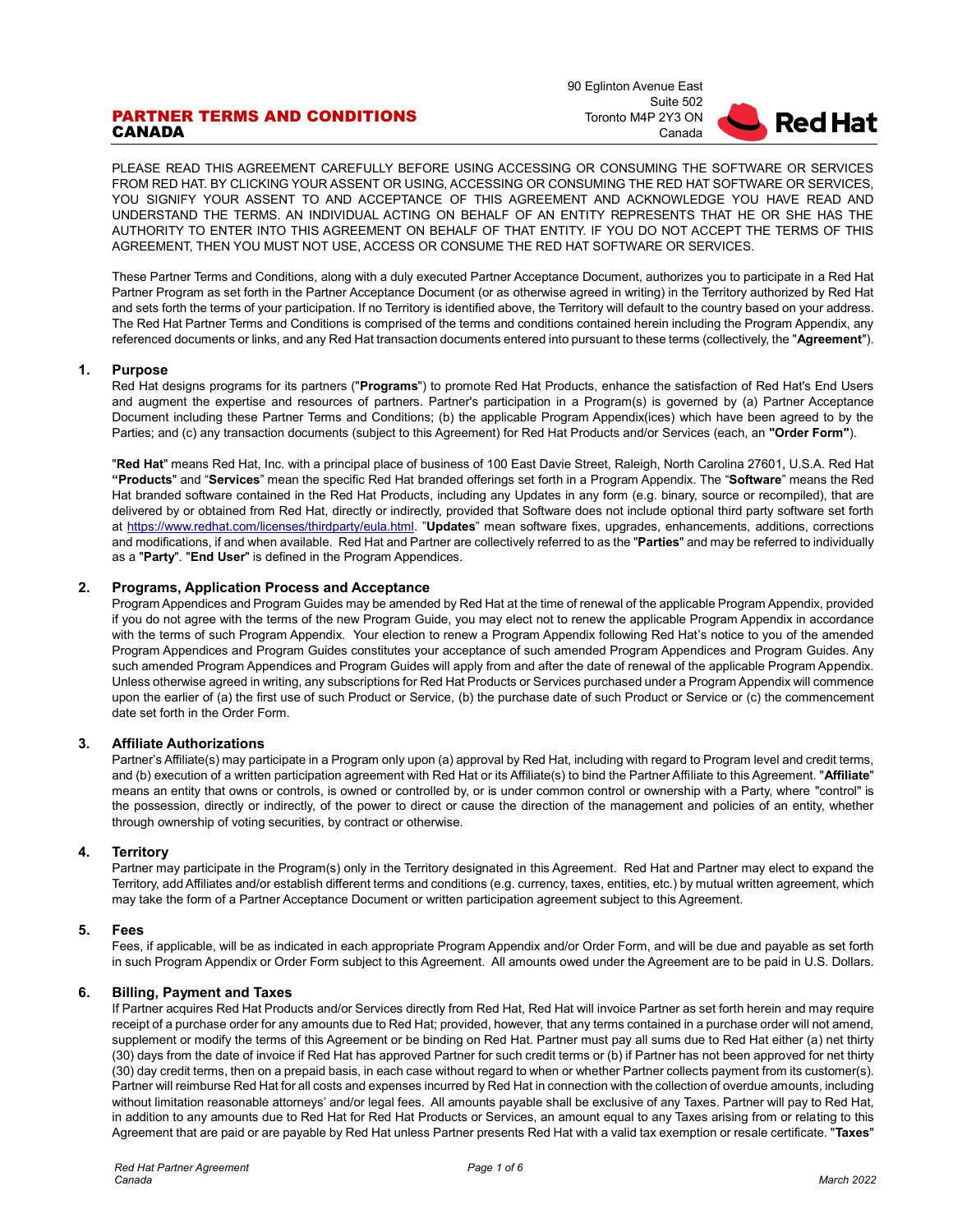# PARTNER TERMS AND CONDITIONS **CANADA**

90 Eglinton Avenue East Suite 502 Toronto M4P 2Y3 ON Canada



PLEASE READ THIS AGREEMENT CAREFULLY BEFORE USING ACCESSING OR CONSUMING THE SOFTWARE OR SERVICES FROM RED HAT. BY CLICKING YOUR ASSENT OR USING, ACCESSING OR CONSUMING THE RED HAT SOFTWARE OR SERVICES, YOU SIGNIFY YOUR ASSENT TO AND ACCEPTANCE OF THIS AGREEMENT AND ACKNOWLEDGE YOU HAVE READ AND UNDERSTAND THE TERMS. AN INDIVIDUAL ACTING ON BEHALF OF AN ENTITY REPRESENTS THAT HE OR SHE HAS THE AUTHORITY TO ENTER INTO THIS AGREEMENT ON BEHALF OF THAT ENTITY. IF YOU DO NOT ACCEPT THE TERMS OF THIS AGREEMENT, THEN YOU MUST NOT USE, ACCESS OR CONSUME THE RED HAT SOFTWARE OR SERVICES.

These Partner Terms and Conditions, along with a duly executed Partner Acceptance Document, authorizes you to participate in a Red Hat Partner Program as set forth in the Partner Acceptance Document (or as otherwise agreed in writing) in the Territory authorized by Red Hat and sets forth the terms of your participation. If no Territory is identified above, the Territory will default to the country based on your address. The Red Hat Partner Terms and Conditions is comprised of the terms and conditions contained herein including the Program Appendix, any referenced documents or links, and any Red Hat transaction documents entered into pursuant to these terms (collectively, the "**Agreement**").

#### **1. Purpose**

Red Hat designs programs for its partners ("**Programs**") to promote Red Hat Products, enhance the satisfaction of Red Hat's End Users and augment the expertise and resources of partners. Partner's participation in a Program(s) is governed by (a) Partner Acceptance Document including these Partner Terms and Conditions; (b) the applicable Program Appendix(ices) which have been agreed to by the Parties; and (c) any transaction documents (subject to this Agreement) for Red Hat Products and/or Services (each, an **"Order Form"**).

"**Red Hat**" means Red Hat, Inc. with a principal place of business of 100 East Davie Street, Raleigh, North Carolina 27601, U.S.A. Red Hat **"Products**" and "**Services**" mean the specific Red Hat branded offerings set forth in a Program Appendix. The "**Software**" means the Red Hat branded software contained in the Red Hat Products, including any Updates in any form (e.g. binary, source or recompiled), that are delivered by or obtained from Red Hat, directly or indirectly, provided that Software does not include optional third party software set forth at [https://www.redhat.com/licenses/thirdparty/eula.html.](https://www.redhat.com/licenses/thirdparty/eula.html) "**Updates**" mean software fixes, upgrades, enhancements, additions, corrections and modifications, if and when available. Red Hat and Partner are collectively referred to as the "**Parties**" and may be referred to individually as a "**Party**". "**End User**" is defined in the Program Appendices.

# **2. Programs, Application Process and Acceptance**

Program Appendices and Program Guides may be amended by Red Hat at the time of renewal of the applicable Program Appendix, provided if you do not agree with the terms of the new Program Guide, you may elect not to renew the applicable Program Appendix in accordance with the terms of such Program Appendix. Your election to renew a Program Appendix following Red Hat's notice to you of the amended Program Appendices and Program Guides constitutes your acceptance of such amended Program Appendices and Program Guides. Any such amended Program Appendices and Program Guides will apply from and after the date of renewal of the applicable Program Appendix. Unless otherwise agreed in writing, any subscriptions for Red Hat Products or Services purchased under a Program Appendix will commence upon the earlier of (a) the first use of such Product or Service, (b) the purchase date of such Product or Service or (c) the commencement date set forth in the Order Form.

#### **3. Affiliate Authorizations**

Partner's Affiliate(s) may participate in a Program only upon (a) approval by Red Hat, including with regard to Program level and credit terms, and (b) execution of a written participation agreement with Red Hat or its Affiliate(s) to bind the Partner Affiliate to this Agreement. "**Affiliate**" means an entity that owns or controls, is owned or controlled by, or is under common control or ownership with a Party, where "control" is the possession, directly or indirectly, of the power to direct or cause the direction of the management and policies of an entity, whether through ownership of voting securities, by contract or otherwise.

#### **4. Territory**

Partner may participate in the Program(s) only in the Territory designated in this Agreement. Red Hat and Partner may elect to expand the Territory, add Affiliates and/or establish different terms and conditions (e.g. currency, taxes, entities, etc.) by mutual written agreement, which may take the form of a Partner Acceptance Document or written participation agreement subject to this Agreement.

#### **5. Fees**

Fees, if applicable, will be as indicated in each appropriate Program Appendix and/or Order Form, and will be due and payable as set forth in such Program Appendix or Order Form subject to this Agreement. All amounts owed under the Agreement are to be paid in U.S. Dollars.

## **6. Billing, Payment and Taxes**

If Partner acquires Red Hat Products and/or Services directly from Red Hat, Red Hat will invoice Partner as set forth herein and may require receipt of a purchase order for any amounts due to Red Hat; provided, however, that any terms contained in a purchase order will not amend, supplement or modify the terms of this Agreement or be binding on Red Hat. Partner must pay all sums due to Red Hat either (a) net thirty (30) days from the date of invoice if Red Hat has approved Partner for such credit terms or (b) if Partner has not been approved for net thirty (30) day credit terms, then on a prepaid basis, in each case without regard to when or whether Partner collects payment from its customer(s). Partner will reimburse Red Hat for all costs and expenses incurred by Red Hat in connection with the collection of overdue amounts, including without limitation reasonable attorneys' and/or legal fees. All amounts payable shall be exclusive of any Taxes. Partner will pay to Red Hat, in addition to any amounts due to Red Hat for Red Hat Products or Services, an amount equal to any Taxes arising from or relating to this Agreement that are paid or are payable by Red Hat unless Partner presents Red Hat with a valid tax exemption or resale certificate. "**Taxes**"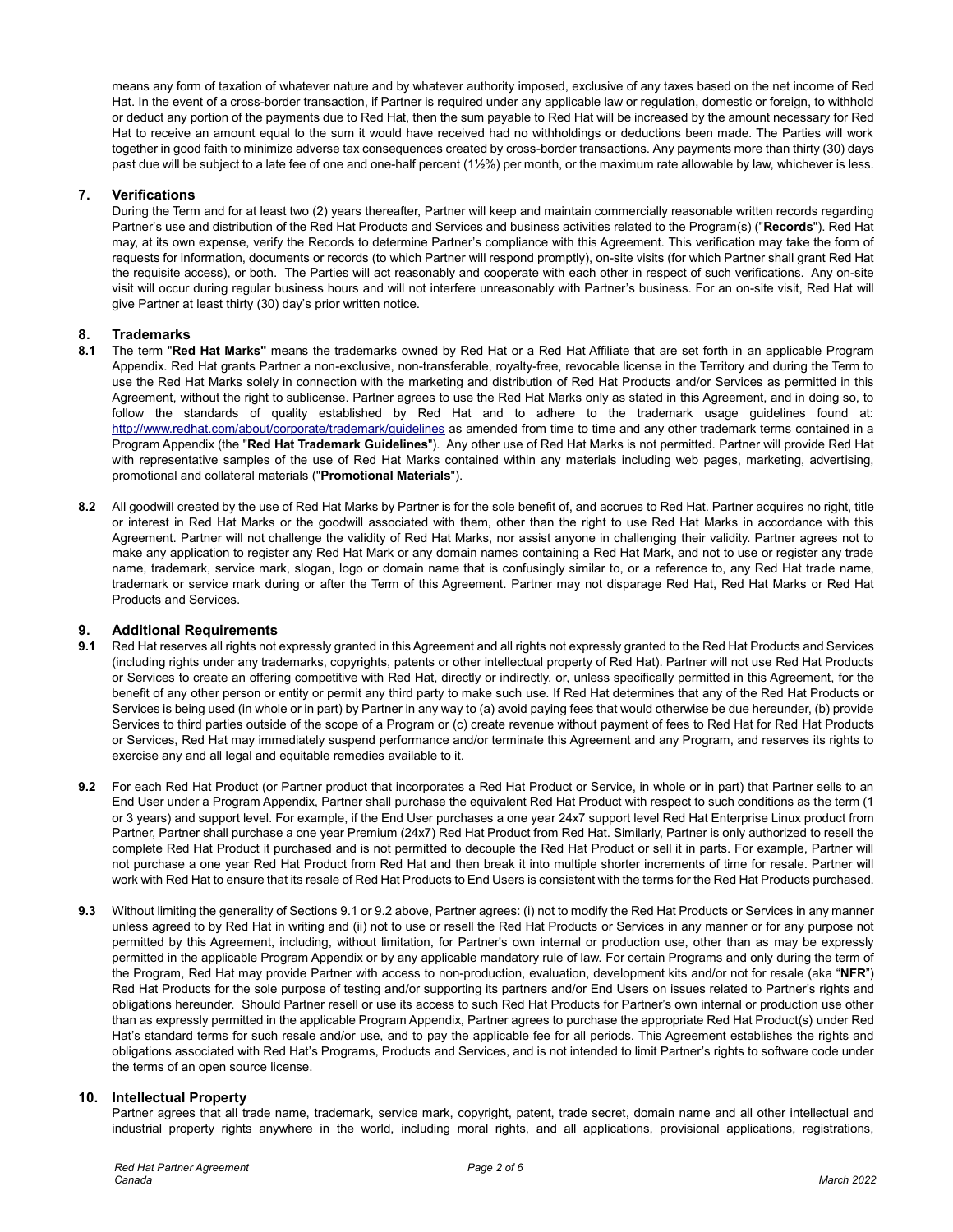means any form of taxation of whatever nature and by whatever authority imposed, exclusive of any taxes based on the net income of Red Hat. In the event of a cross-border transaction, if Partner is required under any applicable law or regulation, domestic or foreign, to withhold or deduct any portion of the payments due to Red Hat, then the sum payable to Red Hat will be increased by the amount necessary for Red Hat to receive an amount equal to the sum it would have received had no withholdings or deductions been made. The Parties will work together in good faith to minimize adverse tax consequences created by cross-border transactions. Any payments more than thirty (30) days past due will be subject to a late fee of one and one-half percent (1½%) per month, or the maximum rate allowable by law, whichever is less.

#### **7. Verifications**

During the Term and for at least two (2) years thereafter, Partner will keep and maintain commercially reasonable written records regarding Partner's use and distribution of the Red Hat Products and Services and business activities related to the Program(s) ("**Records**"). Red Hat may, at its own expense, verify the Records to determine Partner's compliance with this Agreement. This verification may take the form of requests for information, documents or records (to which Partner will respond promptly), on-site visits (for which Partner shall grant Red Hat the requisite access), or both. The Parties will act reasonably and cooperate with each other in respect of such verifications. Any on-site visit will occur during regular business hours and will not interfere unreasonably with Partner's business. For an on-site visit, Red Hat will give Partner at least thirty (30) day's prior written notice.

#### **8. Trademarks**

- **8.1** The term "**Red Hat Marks"** means the trademarks owned by Red Hat or a Red Hat Affiliate that are set forth in an applicable Program Appendix. Red Hat grants Partner a non-exclusive, non-transferable, royalty-free, revocable license in the Territory and during the Term to use the Red Hat Marks solely in connection with the marketing and distribution of Red Hat Products and/or Services as permitted in this Agreement, without the right to sublicense. Partner agrees to use the Red Hat Marks only as stated in this Agreement, and in doing so, to follow the standards of quality established by Red Hat and to adhere to the trademark usage guidelines found at: <http://www.redhat.com/about/corporate/trademark/guidelines> as amended from time to time and any other trademark terms contained in a Program Appendix (the "**Red Hat Trademark Guidelines**"). Any other use of Red Hat Marks is not permitted. Partner will provide Red Hat with representative samples of the use of Red Hat Marks contained within any materials including web pages, marketing, advertising, promotional and collateral materials ("**Promotional Materials**").
- **8.2** All goodwill created by the use of Red Hat Marks by Partner is for the sole benefit of, and accrues to Red Hat. Partner acquires no right, title or interest in Red Hat Marks or the goodwill associated with them, other than the right to use Red Hat Marks in accordance with this Agreement. Partner will not challenge the validity of Red Hat Marks, nor assist anyone in challenging their validity. Partner agrees not to make any application to register any Red Hat Mark or any domain names containing a Red Hat Mark, and not to use or register any trade name, trademark, service mark, slogan, logo or domain name that is confusingly similar to, or a reference to, any Red Hat trade name, trademark or service mark during or after the Term of this Agreement. Partner may not disparage Red Hat, Red Hat Marks or Red Hat Products and Services.

#### **9. Additional Requirements**

- **9.1** Red Hat reserves all rights not expressly granted in this Agreement and all rights not expressly granted to the Red Hat Products and Services (including rights under any trademarks, copyrights, patents or other intellectual property of Red Hat). Partner will not use Red Hat Products or Services to create an offering competitive with Red Hat, directly or indirectly, or, unless specifically permitted in this Agreement, for the benefit of any other person or entity or permit any third party to make such use. If Red Hat determines that any of the Red Hat Products or Services is being used (in whole or in part) by Partner in any way to (a) avoid paying fees that would otherwise be due hereunder, (b) provide Services to third parties outside of the scope of a Program or (c) create revenue without payment of fees to Red Hat for Red Hat Products or Services, Red Hat may immediately suspend performance and/or terminate this Agreement and any Program, and reserves its rights to exercise any and all legal and equitable remedies available to it.
- **9.2** For each Red Hat Product (or Partner product that incorporates a Red Hat Product or Service, in whole or in part) that Partner sells to an End User under a Program Appendix, Partner shall purchase the equivalent Red Hat Product with respect to such conditions as the term (1 or 3 years) and support level. For example, if the End User purchases a one year 24x7 support level Red Hat Enterprise Linux product from Partner, Partner shall purchase a one year Premium (24x7) Red Hat Product from Red Hat. Similarly, Partner is only authorized to resell the complete Red Hat Product it purchased and is not permitted to decouple the Red Hat Product or sell it in parts. For example, Partner will not purchase a one year Red Hat Product from Red Hat and then break it into multiple shorter increments of time for resale. Partner will work with Red Hat to ensure that its resale of Red Hat Products to End Users is consistent with the terms for the Red Hat Products purchased.
- **9.3** Without limiting the generality of Sections 9.1 or 9.2 above, Partner agrees: (i) not to modify the Red Hat Products or Services in any manner unless agreed to by Red Hat in writing and (ii) not to use or resell the Red Hat Products or Services in any manner or for any purpose not permitted by this Agreement, including, without limitation, for Partner's own internal or production use, other than as may be expressly permitted in the applicable Program Appendix or by any applicable mandatory rule of law. For certain Programs and only during the term of the Program, Red Hat may provide Partner with access to non-production, evaluation, development kits and/or not for resale (aka "**NFR**") Red Hat Products for the sole purpose of testing and/or supporting its partners and/or End Users on issues related to Partner's rights and obligations hereunder. Should Partner resell or use its access to such Red Hat Products for Partner's own internal or production use other than as expressly permitted in the applicable Program Appendix, Partner agrees to purchase the appropriate Red Hat Product(s) under Red Hat's standard terms for such resale and/or use, and to pay the applicable fee for all periods. This Agreement establishes the rights and obligations associated with Red Hat's Programs, Products and Services, and is not intended to limit Partner's rights to software code under the terms of an open source license.

#### **10. Intellectual Property**

Partner agrees that all trade name, trademark, service mark, copyright, patent, trade secret, domain name and all other intellectual and industrial property rights anywhere in the world, including moral rights, and all applications, provisional applications, registrations,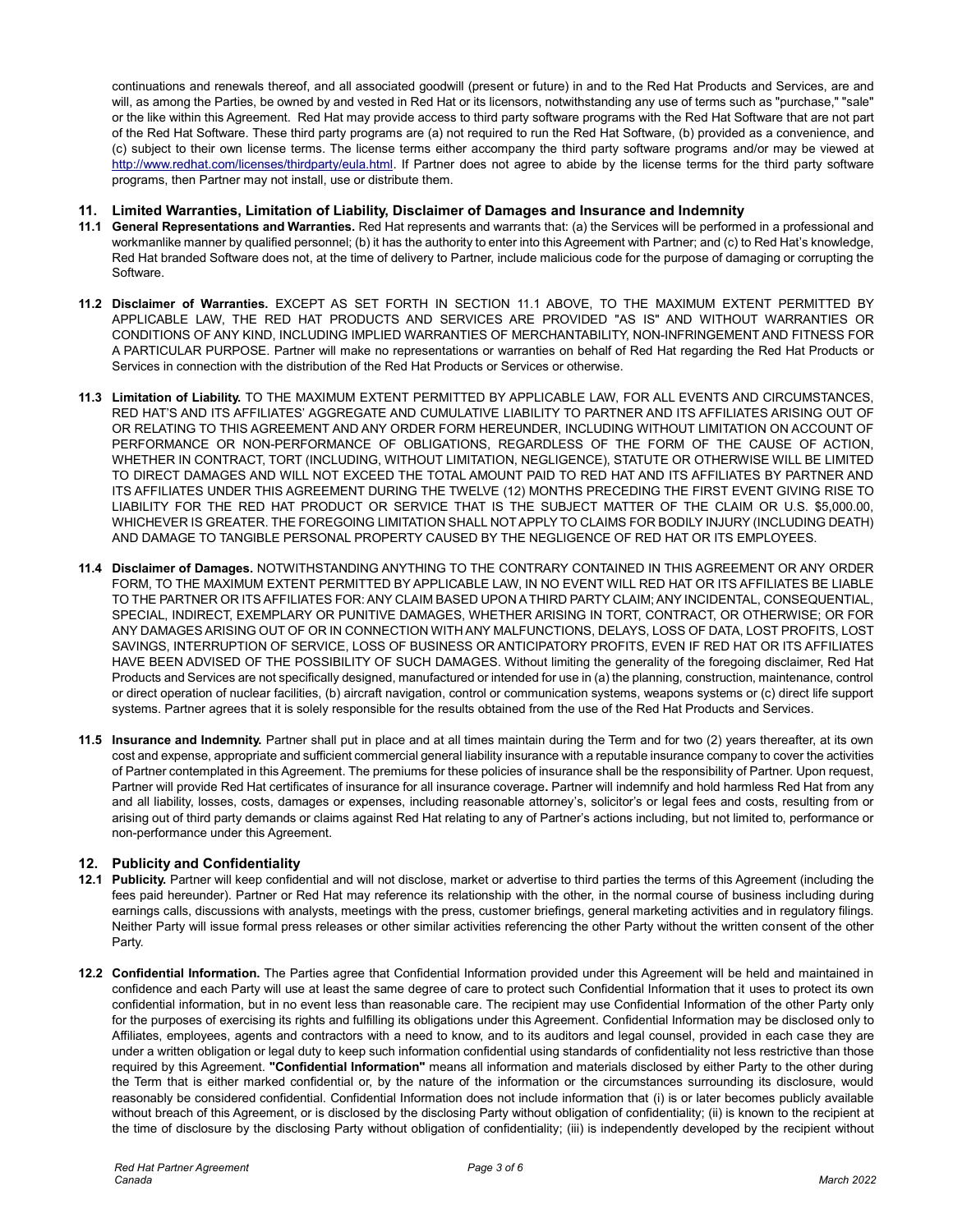continuations and renewals thereof, and all associated goodwill (present or future) in and to the Red Hat Products and Services, are and will, as among the Parties, be owned by and vested in Red Hat or its licensors, notwithstanding any use of terms such as "purchase," "sale" or the like within this Agreement. Red Hat may provide access to third party software programs with the Red Hat Software that are not part of the Red Hat Software. These third party programs are (a) not required to run the Red Hat Software, (b) provided as a convenience, and (c) subject to their own license terms. The license terms either accompany the third party software programs and/or may be viewed at [http://www.redhat.com/licenses/thirdparty/eula.html.](http://www.redhat.com/licenses/thirdparty/eula.html) If Partner does not agree to abide by the license terms for the third party software programs, then Partner may not install, use or distribute them.

## **11. Limited Warranties, Limitation of Liability, Disclaimer of Damages and Insurance and Indemnity**

- **11.1 General Representations and Warranties.** Red Hat represents and warrants that: (a) the Services will be performed in a professional and workmanlike manner by qualified personnel; (b) it has the authority to enter into this Agreement with Partner; and (c) to Red Hat's knowledge, Red Hat branded Software does not, at the time of delivery to Partner, include malicious code for the purpose of damaging or corrupting the Software.
- **11.2 Disclaimer of Warranties.** EXCEPT AS SET FORTH IN SECTION 11.1 ABOVE, TO THE MAXIMUM EXTENT PERMITTED BY APPLICABLE LAW, THE RED HAT PRODUCTS AND SERVICES ARE PROVIDED "AS IS" AND WITHOUT WARRANTIES OR CONDITIONS OF ANY KIND, INCLUDING IMPLIED WARRANTIES OF MERCHANTABILITY, NON-INFRINGEMENT AND FITNESS FOR A PARTICULAR PURPOSE. Partner will make no representations or warranties on behalf of Red Hat regarding the Red Hat Products or Services in connection with the distribution of the Red Hat Products or Services or otherwise.
- **11.3 Limitation of Liability.** TO THE MAXIMUM EXTENT PERMITTED BY APPLICABLE LAW, FOR ALL EVENTS AND CIRCUMSTANCES, RED HAT'S AND ITS AFFILIATES' AGGREGATE AND CUMULATIVE LIABILITY TO PARTNER AND ITS AFFILIATES ARISING OUT OF OR RELATING TO THIS AGREEMENT AND ANY ORDER FORM HEREUNDER, INCLUDING WITHOUT LIMITATION ON ACCOUNT OF PERFORMANCE OR NON-PERFORMANCE OF OBLIGATIONS, REGARDLESS OF THE FORM OF THE CAUSE OF ACTION, WHETHER IN CONTRACT, TORT (INCLUDING, WITHOUT LIMITATION, NEGLIGENCE), STATUTE OR OTHERWISE WILL BE LIMITED TO DIRECT DAMAGES AND WILL NOT EXCEED THE TOTAL AMOUNT PAID TO RED HAT AND ITS AFFILIATES BY PARTNER AND ITS AFFILIATES UNDER THIS AGREEMENT DURING THE TWELVE (12) MONTHS PRECEDING THE FIRST EVENT GIVING RISE TO LIABILITY FOR THE RED HAT PRODUCT OR SERVICE THAT IS THE SUBJECT MATTER OF THE CLAIM OR U.S. \$5,000.00, WHICHEVER IS GREATER. THE FOREGOING LIMITATION SHALL NOT APPLY TO CLAIMS FOR BODILY INJURY (INCLUDING DEATH) AND DAMAGE TO TANGIBLE PERSONAL PROPERTY CAUSED BY THE NEGLIGENCE OF RED HAT OR ITS EMPLOYEES.
- **11.4 Disclaimer of Damages.** NOTWITHSTANDING ANYTHING TO THE CONTRARY CONTAINED IN THIS AGREEMENT OR ANY ORDER FORM, TO THE MAXIMUM EXTENT PERMITTED BY APPLICABLE LAW, IN NO EVENT WILL RED HAT OR ITS AFFILIATES BE LIABLE TO THE PARTNER OR ITS AFFILIATES FOR: ANY CLAIM BASED UPON A THIRD PARTY CLAIM; ANY INCIDENTAL, CONSEQUENTIAL, SPECIAL, INDIRECT, EXEMPLARY OR PUNITIVE DAMAGES, WHETHER ARISING IN TORT, CONTRACT, OR OTHERWISE; OR FOR ANY DAMAGES ARISING OUT OF OR IN CONNECTION WITH ANY MALFUNCTIONS, DELAYS, LOSS OF DATA, LOST PROFITS, LOST SAVINGS, INTERRUPTION OF SERVICE, LOSS OF BUSINESS OR ANTICIPATORY PROFITS, EVEN IF RED HAT OR ITS AFFILIATES HAVE BEEN ADVISED OF THE POSSIBILITY OF SUCH DAMAGES. Without limiting the generality of the foregoing disclaimer, Red Hat Products and Services are not specifically designed, manufactured or intended for use in (a) the planning, construction, maintenance, control or direct operation of nuclear facilities, (b) aircraft navigation, control or communication systems, weapons systems or (c) direct life support systems. Partner agrees that it is solely responsible for the results obtained from the use of the Red Hat Products and Services.
- **11.5 Insurance and Indemnity.** Partner shall put in place and at all times maintain during the Term and for two (2) years thereafter, at its own cost and expense, appropriate and sufficient commercial general liability insurance with a reputable insurance company to cover the activities of Partner contemplated in this Agreement. The premiums for these policies of insurance shall be the responsibility of Partner. Upon request, Partner will provide Red Hat certificates of insurance for all insurance coverage**.** Partner will indemnify and hold harmless Red Hat from any and all liability, losses, costs, damages or expenses, including reasonable attorney's, solicitor's or legal fees and costs, resulting from or arising out of third party demands or claims against Red Hat relating to any of Partner's actions including, but not limited to, performance or non-performance under this Agreement.

## **12. Publicity and Confidentiality**

- **12.1 Publicity.** Partner will keep confidential and will not disclose, market or advertise to third parties the terms of this Agreement (including the fees paid hereunder). Partner or Red Hat may reference its relationship with the other, in the normal course of business including during earnings calls, discussions with analysts, meetings with the press, customer briefings, general marketing activities and in regulatory filings. Neither Party will issue formal press releases or other similar activities referencing the other Party without the written consent of the other Party.
- **12.2 Confidential Information.** The Parties agree that Confidential Information provided under this Agreement will be held and maintained in confidence and each Party will use at least the same degree of care to protect such Confidential Information that it uses to protect its own confidential information, but in no event less than reasonable care. The recipient may use Confidential Information of the other Party only for the purposes of exercising its rights and fulfilling its obligations under this Agreement. Confidential Information may be disclosed only to Affiliates, employees, agents and contractors with a need to know, and to its auditors and legal counsel, provided in each case they are under a written obligation or legal duty to keep such information confidential using standards of confidentiality not less restrictive than those required by this Agreement. **"Confidential Information"** means all information and materials disclosed by either Party to the other during the Term that is either marked confidential or, by the nature of the information or the circumstances surrounding its disclosure, would reasonably be considered confidential. Confidential Information does not include information that (i) is or later becomes publicly available without breach of this Agreement, or is disclosed by the disclosing Party without obligation of confidentiality; (ii) is known to the recipient at the time of disclosure by the disclosing Party without obligation of confidentiality; (iii) is independently developed by the recipient without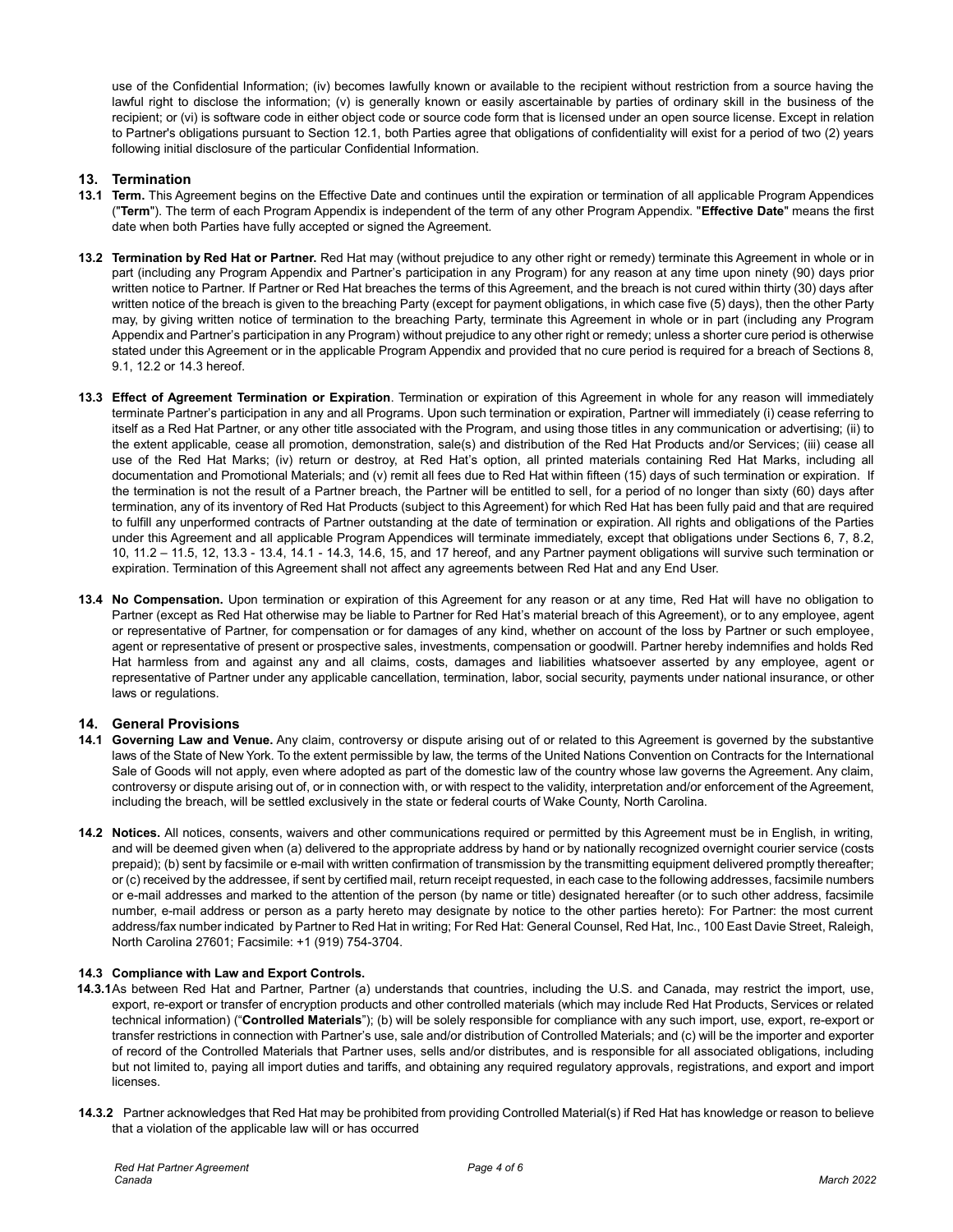use of the Confidential Information; (iv) becomes lawfully known or available to the recipient without restriction from a source having the lawful right to disclose the information; (v) is generally known or easily ascertainable by parties of ordinary skill in the business of the recipient; or (vi) is software code in either object code or source code form that is licensed under an open source license. Except in relation to Partner's obligations pursuant to Section 12.1, both Parties agree that obligations of confidentiality will exist for a period of two (2) years following initial disclosure of the particular Confidential Information.

## **13. Termination**

- **13.1 Term.** This Agreement begins on the Effective Date and continues until the expiration or termination of all applicable Program Appendices ("**Term**"). The term of each Program Appendix is independent of the term of any other Program Appendix. "**Effective Date**" means the first date when both Parties have fully accepted or signed the Agreement.
- **13.2 Termination by Red Hat or Partner.** Red Hat may (without prejudice to any other right or remedy) terminate this Agreement in whole or in part (including any Program Appendix and Partner's participation in any Program) for any reason at any time upon ninety (90) days prior written notice to Partner. If Partner or Red Hat breaches the terms of this Agreement, and the breach is not cured within thirty (30) days after written notice of the breach is given to the breaching Party (except for payment obligations, in which case five (5) days), then the other Party may, by giving written notice of termination to the breaching Party, terminate this Agreement in whole or in part (including any Program Appendix and Partner's participation in any Program) without prejudice to any other right or remedy; unless a shorter cure period is otherwise stated under this Agreement or in the applicable Program Appendix and provided that no cure period is required for a breach of Sections 8, 9.1, 12.2 or 14.3 hereof.
- **13.3 Effect of Agreement Termination or Expiration**. Termination or expiration of this Agreement in whole for any reason will immediately terminate Partner's participation in any and all Programs. Upon such termination or expiration, Partner will immediately (i) cease referring to itself as a Red Hat Partner, or any other title associated with the Program, and using those titles in any communication or advertising; (ii) to the extent applicable, cease all promotion, demonstration, sale(s) and distribution of the Red Hat Products and/or Services; (iii) cease all use of the Red Hat Marks; (iv) return or destroy, at Red Hat's option, all printed materials containing Red Hat Marks, including all documentation and Promotional Materials; and (v) remit all fees due to Red Hat within fifteen (15) days of such termination or expiration. If the termination is not the result of a Partner breach, the Partner will be entitled to sell, for a period of no longer than sixty (60) days after termination, any of its inventory of Red Hat Products (subject to this Agreement) for which Red Hat has been fully paid and that are required to fulfill any unperformed contracts of Partner outstanding at the date of termination or expiration. All rights and obligations of the Parties under this Agreement and all applicable Program Appendices will terminate immediately, except that obligations under Sections 6, 7, 8.2, 10, 11.2 – 11.5, 12, 13.3 - 13.4, 14.1 - 14.3, 14.6, 15, and 17 hereof, and any Partner payment obligations will survive such termination or expiration. Termination of this Agreement shall not affect any agreements between Red Hat and any End User.
- **13.4 No Compensation.** Upon termination or expiration of this Agreement for any reason or at any time, Red Hat will have no obligation to Partner (except as Red Hat otherwise may be liable to Partner for Red Hat's material breach of this Agreement), or to any employee, agent or representative of Partner, for compensation or for damages of any kind, whether on account of the loss by Partner or such employee, agent or representative of present or prospective sales, investments, compensation or goodwill. Partner hereby indemnifies and holds Red Hat harmless from and against any and all claims, costs, damages and liabilities whatsoever asserted by any employee, agent or representative of Partner under any applicable cancellation, termination, labor, social security, payments under national insurance, or other laws or regulations.

#### **14. General Provisions**

- **14.1 Governing Law and Venue.** Any claim, controversy or dispute arising out of or related to this Agreement is governed by the substantive laws of the State of New York. To the extent permissible by law, the terms of the United Nations Convention on Contracts for the International Sale of Goods will not apply, even where adopted as part of the domestic law of the country whose law governs the Agreement. Any claim, controversy or dispute arising out of, or in connection with, or with respect to the validity, interpretation and/or enforcement of the Agreement, including the breach, will be settled exclusively in the state or federal courts of Wake County, North Carolina.
- **14.2 Notices.** All notices, consents, waivers and other communications required or permitted by this Agreement must be in English, in writing, and will be deemed given when (a) delivered to the appropriate address by hand or by nationally recognized overnight courier service (costs prepaid); (b) sent by facsimile or e-mail with written confirmation of transmission by the transmitting equipment delivered promptly thereafter; or (c) received by the addressee, if sent by certified mail, return receipt requested, in each case to the following addresses, facsimile numbers or e-mail addresses and marked to the attention of the person (by name or title) designated hereafter (or to such other address, facsimile number, e-mail address or person as a party hereto may designate by notice to the other parties hereto): For Partner: the most current address/fax number indicated by Partner to Red Hat in writing; For Red Hat: General Counsel, Red Hat, Inc., 100 East Davie Street, Raleigh, North Carolina 27601; Facsimile: +1 (919) 754-3704.

## **14.3 Compliance with Law and Export Controls.**

- **14.3.1**As between Red Hat and Partner, Partner (a) understands that countries, including the U.S. and Canada, may restrict the import, use, export, re-export or transfer of encryption products and other controlled materials (which may include Red Hat Products, Services or related technical information) ("**Controlled Materials**"); (b) will be solely responsible for compliance with any such import, use, export, re-export or transfer restrictions in connection with Partner's use, sale and/or distribution of Controlled Materials; and (c) will be the importer and exporter of record of the Controlled Materials that Partner uses, sells and/or distributes, and is responsible for all associated obligations, including but not limited to, paying all import duties and tariffs, and obtaining any required regulatory approvals, registrations, and export and import **licenses**
- **14.3.2** Partner acknowledges that Red Hat may be prohibited from providing Controlled Material(s) if Red Hat has knowledge or reason to believe that a violation of the applicable law will or has occurred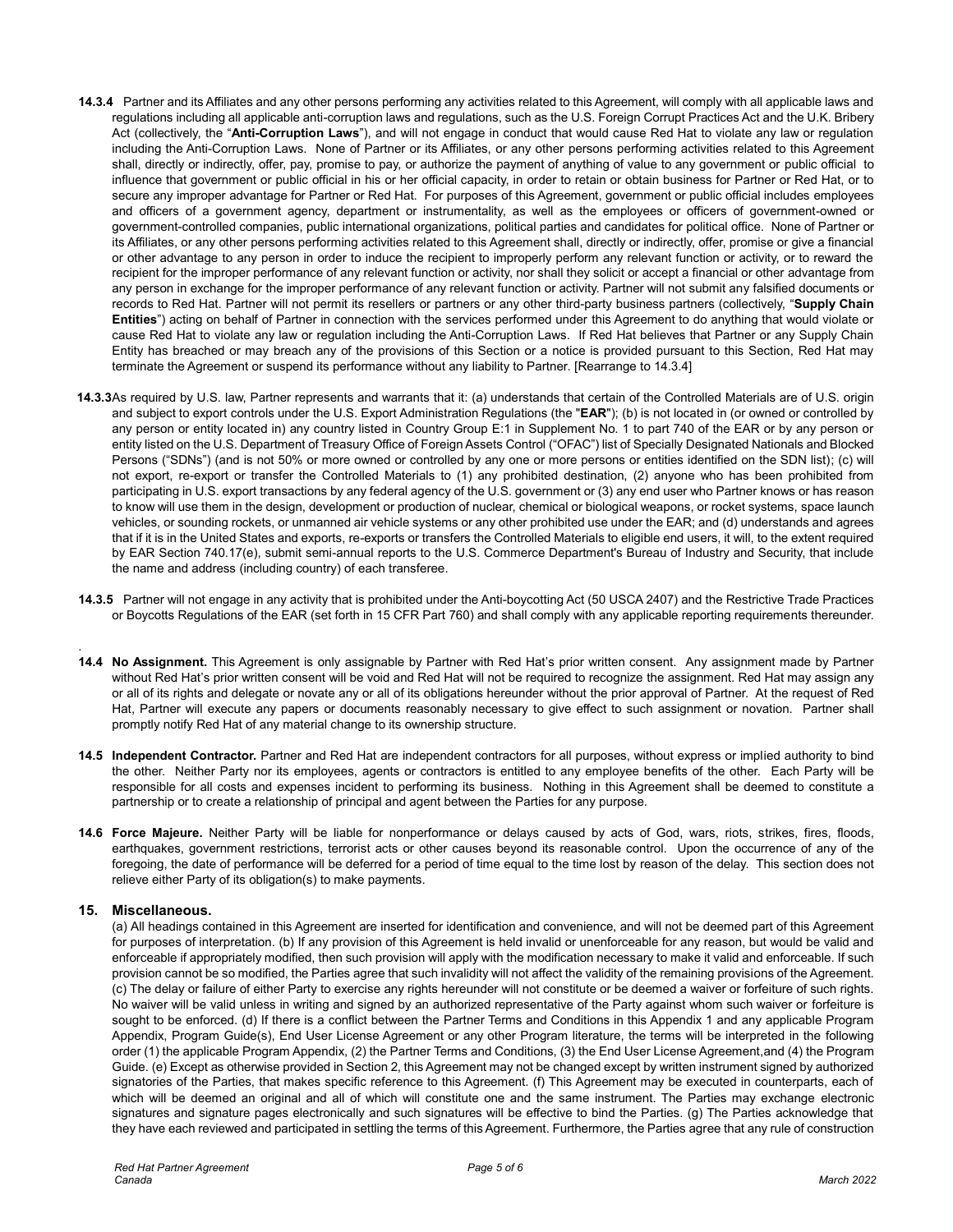- **14.3.4** Partner and its Affiliates and any other persons performing any activities related to this Agreement, will comply with all applicable laws and regulations including all applicable anti-corruption laws and regulations, such as the U.S. Foreign Corrupt Practices Act and the U.K. Bribery Act (collectively, the "**Anti-Corruption Laws**"), and will not engage in conduct that would cause Red Hat to violate any law or regulation including the Anti-Corruption Laws. None of Partner or its Affiliates, or any other persons performing activities related to this Agreement shall, directly or indirectly, offer, pay, promise to pay, or authorize the payment of anything of value to any government or public official to influence that government or public official in his or her official capacity, in order to retain or obtain business for Partner or Red Hat, or to secure any improper advantage for Partner or Red Hat. For purposes of this Agreement, government or public official includes employees and officers of a government agency, department or instrumentality, as well as the employees or officers of government-owned or government-controlled companies, public international organizations, political parties and candidates for political office. None of Partner or its Affiliates, or any other persons performing activities related to this Agreement shall, directly or indirectly, offer, promise or give a financial or other advantage to any person in order to induce the recipient to improperly perform any relevant function or activity, or to reward the recipient for the improper performance of any relevant function or activity, nor shall they solicit or accept a financial or other advantage from any person in exchange for the improper performance of any relevant function or activity. Partner will not submit any falsified documents or records to Red Hat. Partner will not permit its resellers or partners or any other third-party business partners (collectively, "**Supply Chain Entities**") acting on behalf of Partner in connection with the services performed under this Agreement to do anything that would violate or cause Red Hat to violate any law or regulation including the Anti-Corruption Laws. If Red Hat believes that Partner or any Supply Chain Entity has breached or may breach any of the provisions of this Section or a notice is provided pursuant to this Section, Red Hat may terminate the Agreement or suspend its performance without any liability to Partner. [Rearrange to 14.3.4]
- **14.3.3**As required by U.S. law, Partner represents and warrants that it: (a) understands that certain of the Controlled Materials are of U.S. origin and subject to export controls under the U.S. Export Administration Regulations (the "**EAR**"); (b) is not located in (or owned or controlled by any person or entity located in) any country listed in Country Group E:1 in Supplement No. 1 to part 740 of the EAR or by any person or entity listed on the U.S. Department of Treasury Office of Foreign Assets Control ("OFAC") list of Specially Designated Nationals and Blocked Persons ("SDNs") (and is not 50% or more owned or controlled by any one or more persons or entities identified on the SDN list); (c) will not export, re-export or transfer the Controlled Materials to (1) any prohibited destination, (2) anyone who has been prohibited from participating in U.S. export transactions by any federal agency of the U.S. government or (3) any end user who Partner knows or has reason to know will use them in the design, development or production of nuclear, chemical or biological weapons, or rocket systems, space launch vehicles, or sounding rockets, or unmanned air vehicle systems or any other prohibited use under the EAR; and (d) understands and agrees that if it is in the United States and exports, re-exports or transfers the Controlled Materials to eligible end users, it will, to the extent required by EAR Section 740.17(e), submit semi-annual reports to the U.S. Commerce Department's Bureau of Industry and Security, that include the name and address (including country) of each transferee.
- **14.3.5** Partner will not engage in any activity that is prohibited under the Anti-boycotting Act (50 USCA 2407) and the Restrictive Trade Practices or Boycotts Regulations of the EAR (set forth in 15 CFR Part 760) and shall comply with any applicable reporting requirements thereunder.
- **14.4 No Assignment.** This Agreement is only assignable by Partner with Red Hat's prior written consent. Any assignment made by Partner without Red Hat's prior written consent will be void and Red Hat will not be required to recognize the assignment. Red Hat may assign any or all of its rights and delegate or novate any or all of its obligations hereunder without the prior approval of Partner. At the request of Red Hat, Partner will execute any papers or documents reasonably necessary to give effect to such assignment or novation. Partner shall promptly notify Red Hat of any material change to its ownership structure.
- **14.5 Independent Contractor.** Partner and Red Hat are independent contractors for all purposes, without express or implied authority to bind the other. Neither Party nor its employees, agents or contractors is entitled to any employee benefits of the other. Each Party will be responsible for all costs and expenses incident to performing its business. Nothing in this Agreement shall be deemed to constitute a partnership or to create a relationship of principal and agent between the Parties for any purpose.
- **14.6 Force Majeure.** Neither Party will be liable for nonperformance or delays caused by acts of God, wars, riots, strikes, fires, floods, earthquakes, government restrictions, terrorist acts or other causes beyond its reasonable control. Upon the occurrence of any of the foregoing, the date of performance will be deferred for a period of time equal to the time lost by reason of the delay. This section does not relieve either Party of its obligation(s) to make payments.

## **15. Miscellaneous.**

.

(a) All headings contained in this Agreement are inserted for identification and convenience, and will not be deemed part of this Agreement for purposes of interpretation. (b) If any provision of this Agreement is held invalid or unenforceable for any reason, but would be valid and enforceable if appropriately modified, then such provision will apply with the modification necessary to make it valid and enforceable. If such provision cannot be so modified, the Parties agree that such invalidity will not affect the validity of the remaining provisions of the Agreement. (c) The delay or failure of either Party to exercise any rights hereunder will not constitute or be deemed a waiver or forfeiture of such rights. No waiver will be valid unless in writing and signed by an authorized representative of the Party against whom such waiver or forfeiture is sought to be enforced. (d) If there is a conflict between the Partner Terms and Conditions in this Appendix 1 and any applicable Program Appendix, Program Guide(s), End User License Agreement or any other Program literature, the terms will be interpreted in the following order (1) the applicable Program Appendix, (2) the Partner Terms and Conditions, (3) the End User License Agreement,and (4) the Program Guide. (e) Except as otherwise provided in Section 2, this Agreement may not be changed except by written instrument signed by authorized signatories of the Parties, that makes specific reference to this Agreement. (f) This Agreement may be executed in counterparts, each of which will be deemed an original and all of which will constitute one and the same instrument. The Parties may exchange electronic signatures and signature pages electronically and such signatures will be effective to bind the Parties. (g) The Parties acknowledge that they have each reviewed and participated in settling the terms of this Agreement. Furthermore, the Parties agree that any rule of construction